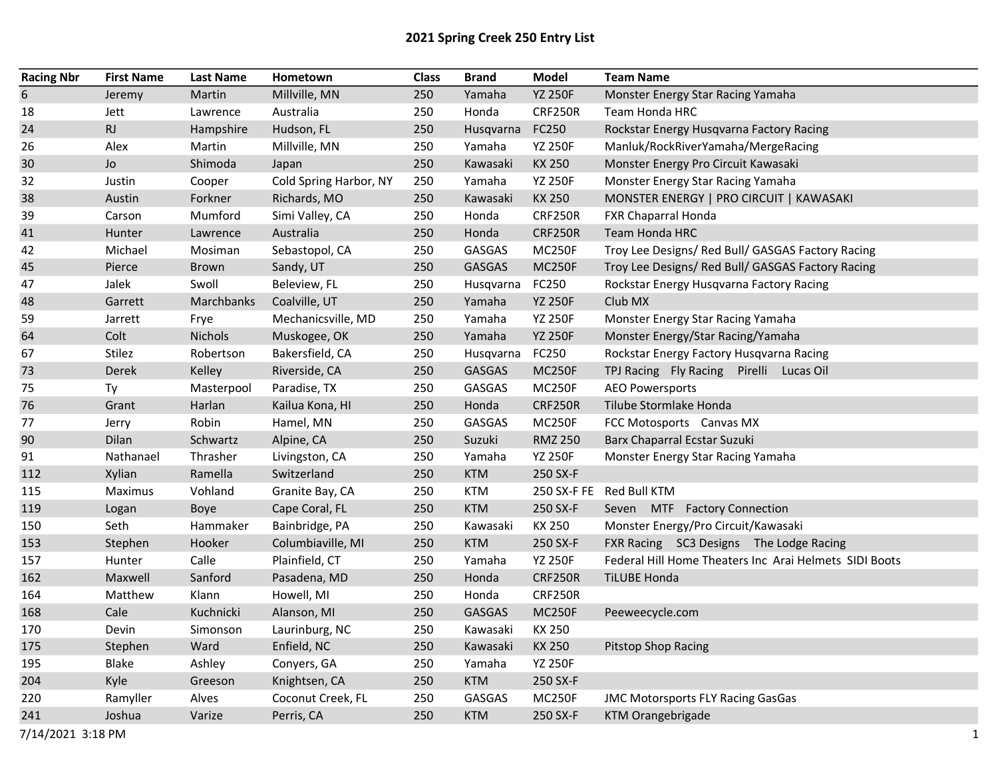## 2021 Spring Creek 250 Entry List

| <b>Racing Nbr</b> | <b>First Name</b> | <b>Last Name</b> | Hometown               | <b>Class</b> | <b>Brand</b>  | Model          | <b>Team Name</b>                                       |
|-------------------|-------------------|------------------|------------------------|--------------|---------------|----------------|--------------------------------------------------------|
| $6\,$             | Jeremy            | Martin           | Millville, MN          | 250          | Yamaha        | <b>YZ 250F</b> | Monster Energy Star Racing Yamaha                      |
| 18                | Jett              | Lawrence         | Australia              | 250          | Honda         | <b>CRF250R</b> | Team Honda HRC                                         |
| 24                | RJ                | Hampshire        | Hudson, FL             | 250          | Husqvarna     | FC250          | Rockstar Energy Husqvarna Factory Racing               |
| 26                | Alex              | Martin           | Millville, MN          | 250          | Yamaha        | <b>YZ 250F</b> | Manluk/RockRiverYamaha/MergeRacing                     |
| 30                | Jo                | Shimoda          | Japan                  | 250          | Kawasaki      | KX 250         | Monster Energy Pro Circuit Kawasaki                    |
| 32                | Justin            | Cooper           | Cold Spring Harbor, NY | 250          | Yamaha        | <b>YZ 250F</b> | Monster Energy Star Racing Yamaha                      |
| 38                | Austin            | Forkner          | Richards, MO           | 250          | Kawasaki      | KX 250         | MONSTER ENERGY   PRO CIRCUIT   KAWASAKI                |
| 39                | Carson            | Mumford          | Simi Valley, CA        | 250          | Honda         | <b>CRF250R</b> | FXR Chaparral Honda                                    |
| 41                | Hunter            | Lawrence         | Australia              | 250          | Honda         | <b>CRF250R</b> | Team Honda HRC                                         |
| 42                | Michael           | Mosiman          | Sebastopol, CA         | 250          | GASGAS        | <b>MC250F</b>  | Troy Lee Designs/ Red Bull/ GASGAS Factory Racing      |
| 45                | Pierce            | <b>Brown</b>     | Sandy, UT              | 250          | <b>GASGAS</b> | <b>MC250F</b>  | Troy Lee Designs/ Red Bull/ GASGAS Factory Racing      |
| 47                | Jalek             | Swoll            | Beleview, FL           | 250          | Husqvarna     | FC250          | Rockstar Energy Husqvarna Factory Racing               |
| 48                | Garrett           | Marchbanks       | Coalville, UT          | 250          | Yamaha        | <b>YZ 250F</b> | Club MX                                                |
| 59                | Jarrett           | Frye             | Mechanicsville, MD     | 250          | Yamaha        | <b>YZ 250F</b> | Monster Energy Star Racing Yamaha                      |
| 64                | Colt              | Nichols          | Muskogee, OK           | 250          | Yamaha        | <b>YZ 250F</b> | Monster Energy/Star Racing/Yamaha                      |
| 67                | Stilez            | Robertson        | Bakersfield, CA        | 250          | Husqvarna     | FC250          | Rockstar Energy Factory Husqvarna Racing               |
| 73                | Derek             | Kelley           | Riverside, CA          | 250          | GASGAS        | <b>MC250F</b>  | TPJ Racing Fly Racing Pirelli Lucas Oil                |
| 75                | Ty                | Masterpool       | Paradise, TX           | 250          | GASGAS        | <b>MC250F</b>  | <b>AEO Powersports</b>                                 |
| 76                | Grant             | Harlan           | Kailua Kona, HI        | 250          | Honda         | <b>CRF250R</b> | Tilube Stormlake Honda                                 |
| 77                | Jerry             | Robin            | Hamel, MN              | 250          | GASGAS        | <b>MC250F</b>  | FCC Motosports Canvas MX                               |
| 90                | Dilan             | Schwartz         | Alpine, CA             | 250          | Suzuki        | <b>RMZ 250</b> | Barx Chaparral Ecstar Suzuki                           |
| 91                | Nathanael         | Thrasher         | Livingston, CA         | 250          | Yamaha        | <b>YZ 250F</b> | Monster Energy Star Racing Yamaha                      |
| 112               | Xylian            | Ramella          | Switzerland            | 250          | <b>KTM</b>    | 250 SX-F       |                                                        |
| 115               | Maximus           | Vohland          | Granite Bay, CA        | 250          | <b>KTM</b>    |                | 250 SX-F FE Red Bull KTM                               |
| 119               | Logan             | <b>Boye</b>      | Cape Coral, FL         | 250          | <b>KTM</b>    | 250 SX-F       | Seven MTF Factory Connection                           |
| 150               | Seth              | Hammaker         | Bainbridge, PA         | 250          | Kawasaki      | KX 250         | Monster Energy/Pro Circuit/Kawasaki                    |
| 153               | Stephen           | Hooker           | Columbiaville, MI      | 250          | <b>KTM</b>    | 250 SX-F       | FXR Racing SC3 Designs The Lodge Racing                |
| 157               | Hunter            | Calle            | Plainfield, CT         | 250          | Yamaha        | <b>YZ 250F</b> | Federal Hill Home Theaters Inc Arai Helmets SIDI Boots |
| 162               | Maxwell           | Sanford          | Pasadena, MD           | 250          | Honda         | <b>CRF250R</b> | <b>TILUBE Honda</b>                                    |
| 164               | Matthew           | Klann            | Howell, MI             | 250          | Honda         | <b>CRF250R</b> |                                                        |
| 168               | Cale              | Kuchnicki        | Alanson, MI            | 250          | <b>GASGAS</b> | <b>MC250F</b>  | Peeweecycle.com                                        |
| 170               | Devin             | Simonson         | Laurinburg, NC         | 250          | Kawasaki      | KX 250         |                                                        |
| 175               | Stephen           | Ward             | Enfield, NC            | 250          | Kawasaki      | KX 250         | <b>Pitstop Shop Racing</b>                             |
| 195               | Blake             | Ashley           | Conyers, GA            | 250          | Yamaha        | <b>YZ 250F</b> |                                                        |
| 204               | Kyle              | Greeson          | Knightsen, CA          | 250          | <b>KTM</b>    | 250 SX-F       |                                                        |
| 220               | Ramyller          | Alves            | Coconut Creek, FL      | 250          | GASGAS        | <b>MC250F</b>  | JMC Motorsports FLY Racing GasGas                      |
| 241               | Joshua            | Varize           | Perris, CA             | 250          | <b>KTM</b>    | 250 SX-F       | KTM Orangebrigade                                      |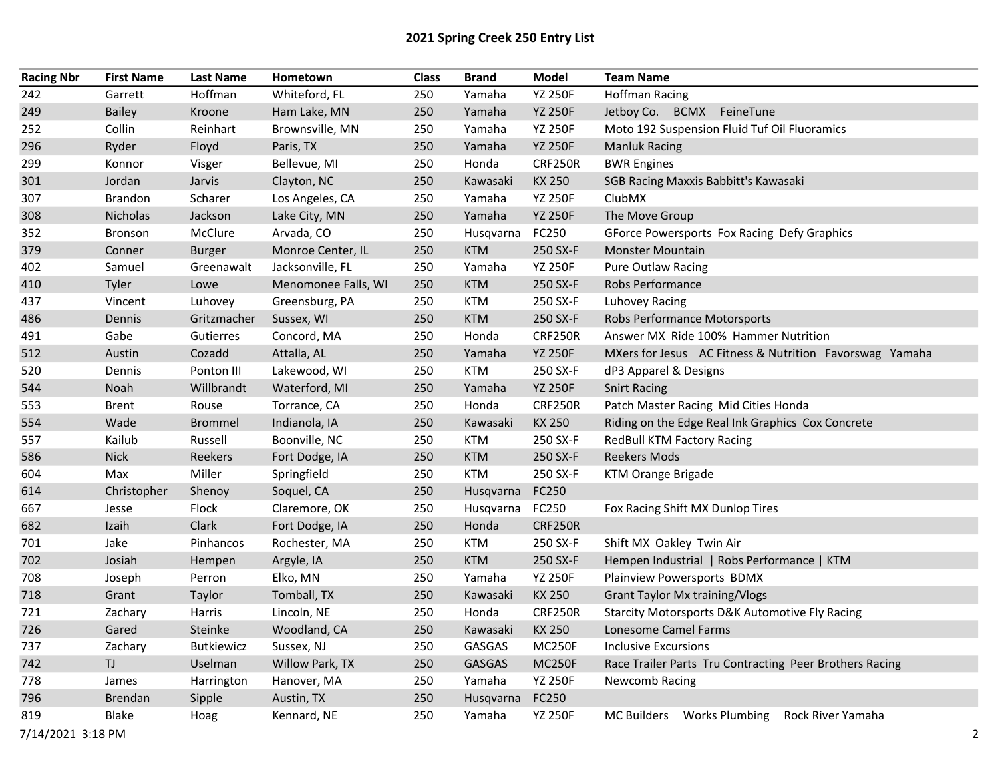## 2021 Spring Creek 250 Entry List

| <b>Racing Nbr</b> | <b>First Name</b> | <b>Last Name</b>  | Hometown            | <b>Class</b> | <b>Brand</b> | <b>Model</b>   | <b>Team Name</b>                                                 |
|-------------------|-------------------|-------------------|---------------------|--------------|--------------|----------------|------------------------------------------------------------------|
| 242               | Garrett           | Hoffman           | Whiteford, FL       | 250          | Yamaha       | <b>YZ 250F</b> | <b>Hoffman Racing</b>                                            |
| 249               | <b>Bailey</b>     | Kroone            | Ham Lake, MN        | 250          | Yamaha       | <b>YZ 250F</b> | Jetboy Co. BCMX FeineTune                                        |
| 252               | Collin            | Reinhart          | Brownsville, MN     | 250          | Yamaha       | <b>YZ 250F</b> | Moto 192 Suspension Fluid Tuf Oil Fluoramics                     |
| 296               | Ryder             | Floyd             | Paris, TX           | 250          | Yamaha       | <b>YZ 250F</b> | <b>Manluk Racing</b>                                             |
| 299               | Konnor            | Visger            | Bellevue, MI        | 250          | Honda        | <b>CRF250R</b> | <b>BWR Engines</b>                                               |
| 301               | Jordan            | Jarvis            | Clayton, NC         | 250          | Kawasaki     | <b>KX 250</b>  | SGB Racing Maxxis Babbitt's Kawasaki                             |
| 307               | <b>Brandon</b>    | Scharer           | Los Angeles, CA     | 250          | Yamaha       | <b>YZ 250F</b> | ClubMX                                                           |
| 308               | Nicholas          | Jackson           | Lake City, MN       | 250          | Yamaha       | <b>YZ 250F</b> | The Move Group                                                   |
| 352               | <b>Bronson</b>    | McClure           | Arvada, CO          | 250          | Husqvarna    | FC250          | GForce Powersports Fox Racing Defy Graphics                      |
| 379               | Conner            | <b>Burger</b>     | Monroe Center, IL   | 250          | <b>KTM</b>   | 250 SX-F       | <b>Monster Mountain</b>                                          |
| 402               | Samuel            | Greenawalt        | Jacksonville, FL    | 250          | Yamaha       | <b>YZ 250F</b> | <b>Pure Outlaw Racing</b>                                        |
| 410               | Tyler             | Lowe              | Menomonee Falls, WI | 250          | <b>KTM</b>   | 250 SX-F       | Robs Performance                                                 |
| 437               | Vincent           | Luhovey           | Greensburg, PA      | 250          | <b>KTM</b>   | 250 SX-F       | <b>Luhovey Racing</b>                                            |
| 486               | Dennis            | Gritzmacher       | Sussex, WI          | 250          | <b>KTM</b>   | 250 SX-F       | Robs Performance Motorsports                                     |
| 491               | Gabe              | Gutierres         | Concord, MA         | 250          | Honda        | <b>CRF250R</b> | Answer MX Ride 100% Hammer Nutrition                             |
| 512               | Austin            | Cozadd            | Attalla, AL         | 250          | Yamaha       | <b>YZ 250F</b> | MXers for Jesus AC Fitness & Nutrition Favorswag Yamaha          |
| 520               | Dennis            | Ponton III        | Lakewood, WI        | 250          | <b>KTM</b>   | 250 SX-F       | dP3 Apparel & Designs                                            |
| 544               | Noah              | Willbrandt        | Waterford, MI       | 250          | Yamaha       | <b>YZ 250F</b> | <b>Snirt Racing</b>                                              |
| 553               | <b>Brent</b>      | Rouse             | Torrance, CA        | 250          | Honda        | <b>CRF250R</b> | Patch Master Racing Mid Cities Honda                             |
| 554               | Wade              | <b>Brommel</b>    | Indianola, IA       | 250          | Kawasaki     | <b>KX 250</b>  | Riding on the Edge Real Ink Graphics Cox Concrete                |
| 557               | Kailub            | Russell           | Boonville, NC       | 250          | <b>KTM</b>   | 250 SX-F       | RedBull KTM Factory Racing                                       |
| 586               | <b>Nick</b>       | Reekers           | Fort Dodge, IA      | 250          | <b>KTM</b>   | 250 SX-F       | <b>Reekers Mods</b>                                              |
| 604               | Max               | Miller            | Springfield         | 250          | <b>KTM</b>   | 250 SX-F       | KTM Orange Brigade                                               |
| 614               | Christopher       | Shenoy            | Soquel, CA          | 250          | Husqvarna    | FC250          |                                                                  |
| 667               | Jesse             | Flock             | Claremore, OK       | 250          | Husqvarna    | FC250          | Fox Racing Shift MX Dunlop Tires                                 |
| 682               | Izaih             | Clark             | Fort Dodge, IA      | 250          | Honda        | <b>CRF250R</b> |                                                                  |
| 701               | Jake              | Pinhancos         | Rochester, MA       | 250          | <b>KTM</b>   | 250 SX-F       | Shift MX Oakley Twin Air                                         |
| 702               | Josiah            | Hempen            | Argyle, IA          | 250          | <b>KTM</b>   | 250 SX-F       | Hempen Industrial   Robs Performance   KTM                       |
| 708               | Joseph            | Perron            | Elko, MN            | 250          | Yamaha       | <b>YZ 250F</b> | Plainview Powersports BDMX                                       |
| 718               | Grant             | Taylor            | Tomball, TX         | 250          | Kawasaki     | KX 250         | <b>Grant Taylor Mx training/Vlogs</b>                            |
| 721               | Zachary           | Harris            | Lincoln, NE         | 250          | Honda        | <b>CRF250R</b> | <b>Starcity Motorsports D&amp;K Automotive Fly Racing</b>        |
| 726               | Gared             | Steinke           | Woodland, CA        | 250          | Kawasaki     | <b>KX 250</b>  | Lonesome Camel Farms                                             |
| 737               | Zachary           | <b>Butkiewicz</b> | Sussex, NJ          | 250          | GASGAS       | <b>MC250F</b>  | <b>Inclusive Excursions</b>                                      |
| 742               | TJ                | Uselman           | Willow Park, TX     | 250          | GASGAS       | <b>MC250F</b>  | Race Trailer Parts Tru Contracting Peer Brothers Racing          |
| 778               | James             | Harrington        | Hanover, MA         | 250          | Yamaha       | <b>YZ 250F</b> | Newcomb Racing                                                   |
| 796               | Brendan           | Sipple            | Austin, TX          | 250          | Husqvarna    | FC250          |                                                                  |
| 819               | <b>Blake</b>      | Hoag              | Kennard, NE         | 250          | Yamaha       | <b>YZ 250F</b> | <b>Works Plumbing</b><br>Rock River Yamaha<br><b>MC Builders</b> |
| 7/14/2021 3:18 PM |                   |                   |                     |              |              |                | $\overline{2}$                                                   |